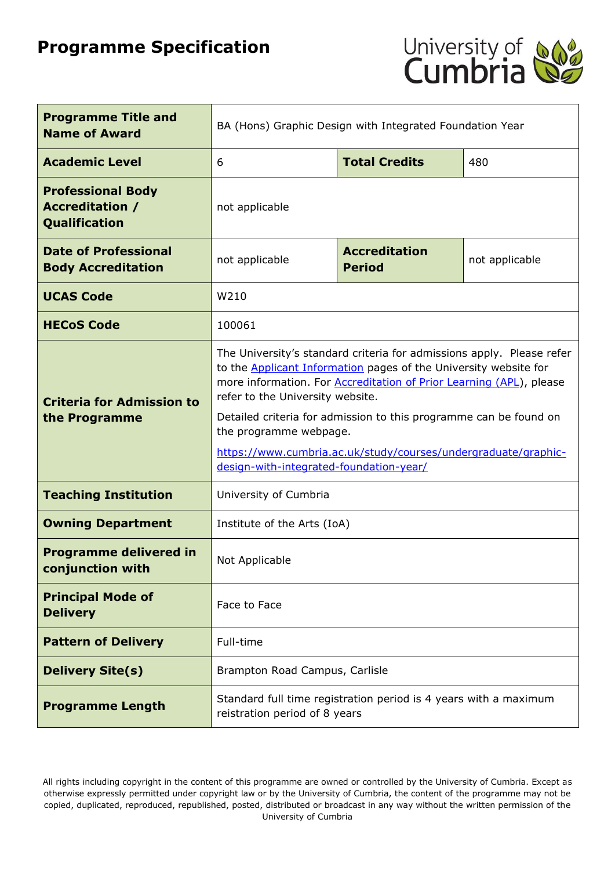# **Programme Specification**



| <b>Programme Title and</b><br><b>Name of Award</b>                         | BA (Hons) Graphic Design with Integrated Foundation Year                                                                                                                                                                                                                                                                                                                                                                                                                        |  |                |
|----------------------------------------------------------------------------|---------------------------------------------------------------------------------------------------------------------------------------------------------------------------------------------------------------------------------------------------------------------------------------------------------------------------------------------------------------------------------------------------------------------------------------------------------------------------------|--|----------------|
| <b>Academic Level</b>                                                      | <b>Total Credits</b><br>6<br>480                                                                                                                                                                                                                                                                                                                                                                                                                                                |  |                |
| <b>Professional Body</b><br><b>Accreditation /</b><br><b>Qualification</b> | not applicable                                                                                                                                                                                                                                                                                                                                                                                                                                                                  |  |                |
| <b>Date of Professional</b><br><b>Body Accreditation</b>                   | <b>Accreditation</b><br>not applicable<br><b>Period</b>                                                                                                                                                                                                                                                                                                                                                                                                                         |  | not applicable |
| <b>UCAS Code</b>                                                           | W210                                                                                                                                                                                                                                                                                                                                                                                                                                                                            |  |                |
| <b>HECoS Code</b>                                                          | 100061                                                                                                                                                                                                                                                                                                                                                                                                                                                                          |  |                |
| <b>Criteria for Admission to</b><br>the Programme                          | The University's standard criteria for admissions apply. Please refer<br>to the <b>Applicant Information</b> pages of the University website for<br>more information. For <b>Accreditation of Prior Learning (APL)</b> , please<br>refer to the University website.<br>Detailed criteria for admission to this programme can be found on<br>the programme webpage.<br>https://www.cumbria.ac.uk/study/courses/undergraduate/graphic-<br>design-with-integrated-foundation-year/ |  |                |
| <b>Teaching Institution</b>                                                | University of Cumbria                                                                                                                                                                                                                                                                                                                                                                                                                                                           |  |                |
| <b>Owning Department</b>                                                   | Institute of the Arts (IoA)                                                                                                                                                                                                                                                                                                                                                                                                                                                     |  |                |
| <b>Programme delivered in</b><br>conjunction with                          | Not Applicable                                                                                                                                                                                                                                                                                                                                                                                                                                                                  |  |                |
| <b>Principal Mode of</b><br><b>Delivery</b>                                | Face to Face                                                                                                                                                                                                                                                                                                                                                                                                                                                                    |  |                |
| <b>Pattern of Delivery</b>                                                 | Full-time                                                                                                                                                                                                                                                                                                                                                                                                                                                                       |  |                |
| <b>Delivery Site(s)</b>                                                    | Brampton Road Campus, Carlisle                                                                                                                                                                                                                                                                                                                                                                                                                                                  |  |                |
| <b>Programme Length</b>                                                    | Standard full time registration period is 4 years with a maximum<br>reistration period of 8 years                                                                                                                                                                                                                                                                                                                                                                               |  |                |

All rights including copyright in the content of this programme are owned or controlled by the University of Cumbria. Except as otherwise expressly permitted under copyright law or by the University of Cumbria, the content of the programme may not be copied, duplicated, reproduced, republished, posted, distributed or broadcast in any way without the written permission of the University of Cumbria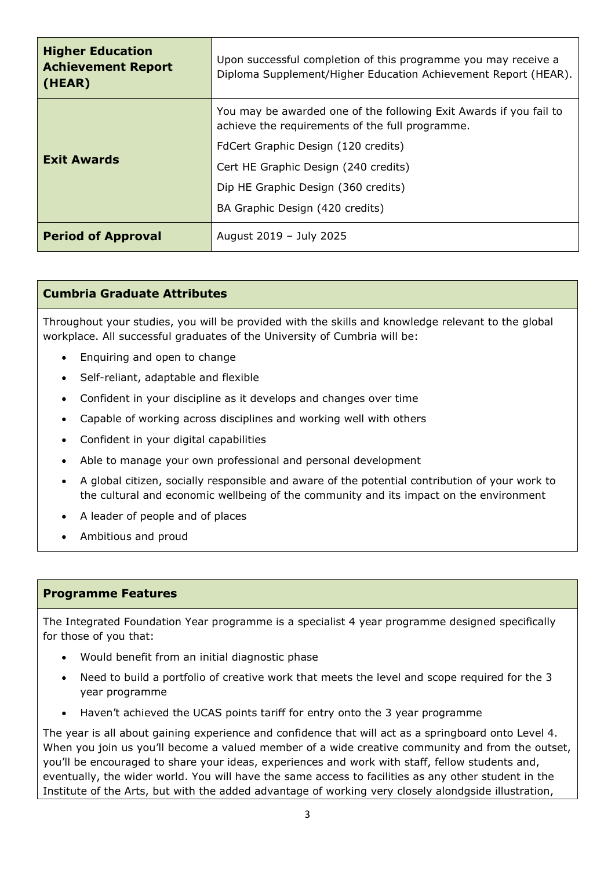| <b>Higher Education</b><br><b>Achievement Report</b><br>(HEAR) | Upon successful completion of this programme you may receive a<br>Diploma Supplement/Higher Education Achievement Report (HEAR). |  |
|----------------------------------------------------------------|----------------------------------------------------------------------------------------------------------------------------------|--|
|                                                                | You may be awarded one of the following Exit Awards if you fail to<br>achieve the requirements of the full programme.            |  |
|                                                                | FdCert Graphic Design (120 credits)                                                                                              |  |
| <b>Exit Awards</b>                                             | Cert HE Graphic Design (240 credits)                                                                                             |  |
|                                                                | Dip HE Graphic Design (360 credits)                                                                                              |  |
|                                                                | BA Graphic Design (420 credits)                                                                                                  |  |
| <b>Period of Approval</b>                                      | August 2019 - July 2025                                                                                                          |  |

# **Cumbria Graduate Attributes**

Throughout your studies, you will be provided with the skills and knowledge relevant to the global workplace. All successful graduates of the University of Cumbria will be:

- Enquiring and open to change
- Self-reliant, adaptable and flexible
- Confident in your discipline as it develops and changes over time
- Capable of working across disciplines and working well with others
- Confident in your digital capabilities
- Able to manage your own professional and personal development
- A global citizen, socially responsible and aware of the potential contribution of your work to the cultural and economic wellbeing of the community and its impact on the environment
- A leader of people and of places
- Ambitious and proud

#### **Programme Features**

The Integrated Foundation Year programme is a specialist 4 year programme designed specifically for those of you that:

- Would benefit from an initial diagnostic phase
- Need to build a portfolio of creative work that meets the level and scope required for the 3 year programme
- Haven't achieved the UCAS points tariff for entry onto the 3 year programme

The year is all about gaining experience and confidence that will act as a springboard onto Level 4. When you join us you'll become a valued member of a wide creative community and from the outset, you'll be encouraged to share your ideas, experiences and work with staff, fellow students and, eventually, the wider world. You will have the same access to facilities as any other student in the Institute of the Arts, but with the added advantage of working very closely alondgside illustration,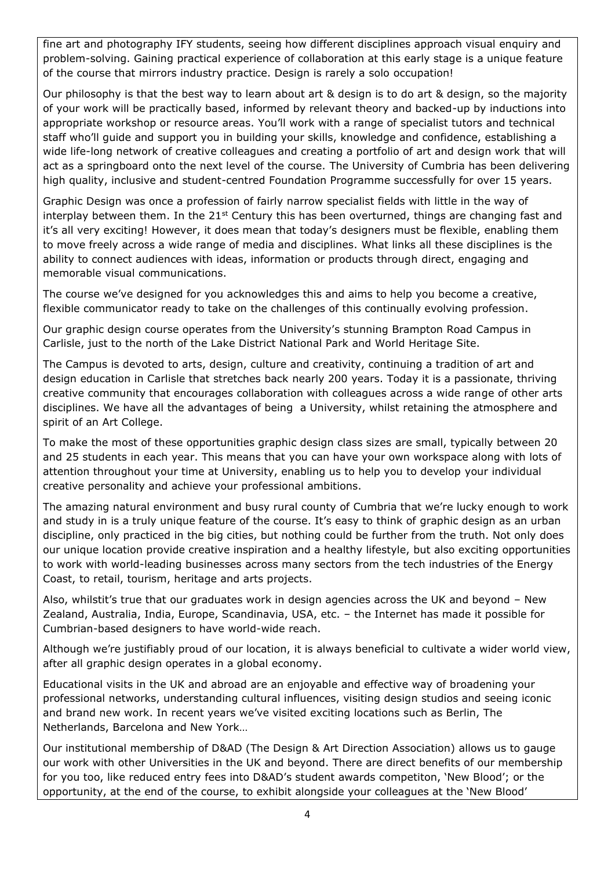fine art and photography IFY students, seeing how different disciplines approach visual enquiry and problem-solving. Gaining practical experience of collaboration at this early stage is a unique feature of the course that mirrors industry practice. Design is rarely a solo occupation!

Our philosophy is that the best way to learn about art & design is to do art & design, so the majority of your work will be practically based, informed by relevant theory and backed-up by inductions into appropriate workshop or resource areas. You'll work with a range of specialist tutors and technical staff who'll guide and support you in building your skills, knowledge and confidence, establishing a wide life-long network of creative colleagues and creating a portfolio of art and design work that will act as a springboard onto the next level of the course. The University of Cumbria has been delivering high quality, inclusive and student-centred Foundation Programme successfully for over 15 years.

Graphic Design was once a profession of fairly narrow specialist fields with little in the way of interplay between them. In the 21<sup>st</sup> Century this has been overturned, things are changing fast and it's all very exciting! However, it does mean that today's designers must be flexible, enabling them to move freely across a wide range of media and disciplines. What links all these disciplines is the ability to connect audiences with ideas, information or products through direct, engaging and memorable visual communications.

The course we've designed for you acknowledges this and aims to help you become a creative, flexible communicator ready to take on the challenges of this continually evolving profession.

Our graphic design course operates from the University's stunning Brampton Road Campus in Carlisle, just to the north of the Lake District National Park and World Heritage Site.

The Campus is devoted to arts, design, culture and creativity, continuing a tradition of art and design education in Carlisle that stretches back nearly 200 years. Today it is a passionate, thriving creative community that encourages collaboration with colleagues across a wide range of other arts disciplines. We have all the advantages of being a University, whilst retaining the atmosphere and spirit of an Art College.

To make the most of these opportunities graphic design class sizes are small, typically between 20 and 25 students in each year. This means that you can have your own workspace along with lots of attention throughout your time at University, enabling us to help you to develop your individual creative personality and achieve your professional ambitions.

The amazing natural environment and busy rural county of Cumbria that we're lucky enough to work and study in is a truly unique feature of the course. It's easy to think of graphic design as an urban discipline, only practiced in the big cities, but nothing could be further from the truth. Not only does our unique location provide creative inspiration and a healthy lifestyle, but also exciting opportunities to work with world-leading businesses across many sectors from the tech industries of the Energy Coast, to retail, tourism, heritage and arts projects.

Also, whilstit's true that our graduates work in design agencies across the UK and beyond – New Zealand, Australia, India, Europe, Scandinavia, USA, etc. – the Internet has made it possible for Cumbrian-based designers to have world-wide reach.

Although we're justifiably proud of our location, it is always beneficial to cultivate a wider world view, after all graphic design operates in a global economy.

Educational visits in the UK and abroad are an enjoyable and effective way of broadening your professional networks, understanding cultural influences, visiting design studios and seeing iconic and brand new work. In recent years we've visited exciting locations such as Berlin, The Netherlands, Barcelona and New York…

Our institutional membership of D&AD (The Design & Art Direction Association) allows us to gauge our work with other Universities in the UK and beyond. There are direct benefits of our membership for you too, like reduced entry fees into D&AD's student awards competiton, 'New Blood'; or the opportunity, at the end of the course, to exhibit alongside your colleagues at the 'New Blood'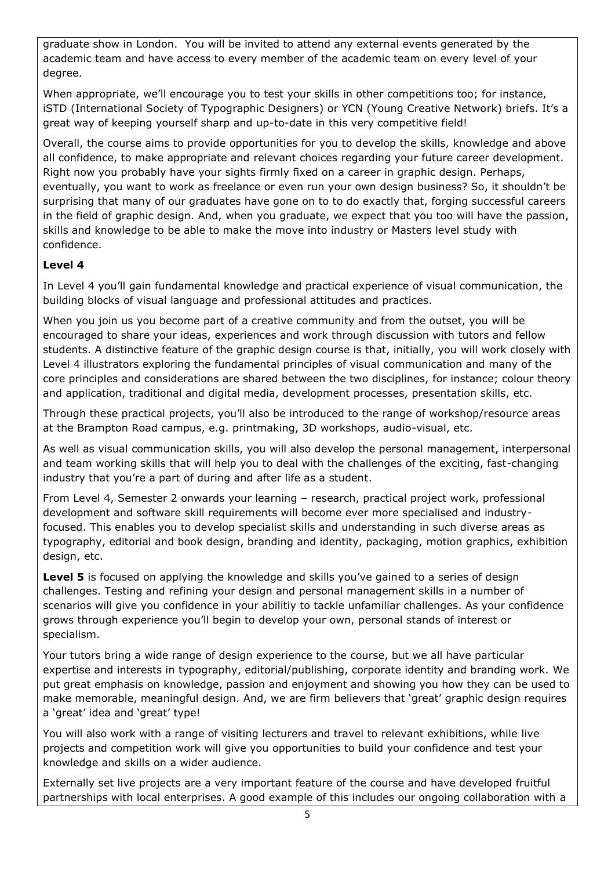graduate show in London. You will be invited to attend any external events generated by the academic team and have access to every member of the academic team on every level of your degree.

When appropriate, we'll encourage you to test your skills in other competitions too; for instance, iSTD (International Society of Typographic Designers) or YCN (Young Creative Network) briefs. It's a great way of keeping yourself sharp and up-to-date in this very competitive field!

Overall, the course aims to provide opportunities for you to develop the skills, knowledge and above all confidence, to make appropriate and relevant choices regarding your future career development. Right now you probably have your sights firmly fixed on a career in graphic design. Perhaps, eventually, you want to work as freelance or even run your own design business? So, it shouldn't be surprising that many of our graduates have gone on to to do exactly that, forging successful careers in the field of graphic design. And, when you graduate, we expect that you too will have the passion, skills and knowledge to be able to make the move into industry or Masters level study with confidence.

# **Level 4**

In Level 4 you'll gain fundamental knowledge and practical experience of visual communication, the building blocks of visual language and professional attitudes and practices.

When you join us you become part of a creative community and from the outset, you will be encouraged to share your ideas, experiences and work through discussion with tutors and fellow students. A distinctive feature of the graphic design course is that, initially, you will work closely with Level 4 illustrators exploring the fundamental principles of visual communication and many of the core principles and considerations are shared between the two disciplines, for instance; colour theory and application, traditional and digital media, development processes, presentation skills, etc.

Through these practical projects, you'll also be introduced to the range of workshop/resource areas at the Brampton Road campus, e.g. printmaking, 3D workshops, audio-visual, etc.

As well as visual communication skills, you will also develop the personal management, interpersonal and team working skills that will help you to deal with the challenges of the exciting, fast-changing industry that you're a part of during and after life as a student.

From Level 4, Semester 2 onwards your learning – research, practical project work, professional development and software skill requirements will become ever more specialised and industryfocused. This enables you to develop specialist skills and understanding in such diverse areas as typography, editorial and book design, branding and identity, packaging, motion graphics, exhibition design, etc.

**Level 5** is focused on applying the knowledge and skills you've gained to a series of design challenges. Testing and refining your design and personal management skills in a number of scenarios will give you confidence in your abilitiy to tackle unfamiliar challenges. As your confidence grows through experience you'll begin to develop your own, personal stands of interest or specialism.

Your tutors bring a wide range of design experience to the course, but we all have particular expertise and interests in typography, editorial/publishing, corporate identity and branding work. We put great emphasis on knowledge, passion and enjoyment and showing you how they can be used to make memorable, meaningful design. And, we are firm believers that 'great' graphic design requires a 'great' idea and 'great' type!

You will also work with a range of visiting lecturers and travel to relevant exhibitions, while live projects and competition work will give you opportunities to build your confidence and test your knowledge and skills on a wider audience.

Externally set live projects are a very important feature of the course and have developed fruitful partnerships with local enterprises. A good example of this includes our ongoing collaboration with a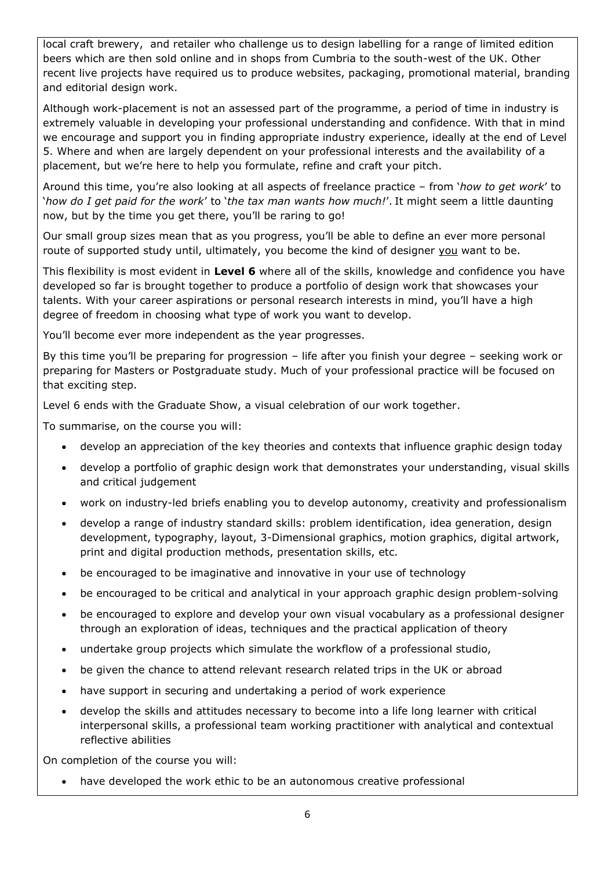local craft brewery, and retailer who challenge us to design labelling for a range of limited edition beers which are then sold online and in shops from Cumbria to the south-west of the UK. Other recent live projects have required us to produce websites, packaging, promotional material, branding and editorial design work.

Although work-placement is not an assessed part of the programme, a period of time in industry is extremely valuable in developing your professional understanding and confidence. With that in mind we encourage and support you in finding appropriate industry experience, ideally at the end of Level 5. Where and when are largely dependent on your professional interests and the availability of a placement, but we're here to help you formulate, refine and craft your pitch.

Around this time, you're also looking at all aspects of freelance practice – from '*how to get work*' to '*how do I get paid for the work*' to '*the tax man wants how much!*'. It might seem a little daunting now, but by the time you get there, you'll be raring to go!

Our small group sizes mean that as you progress, you'll be able to define an ever more personal route of supported study until, ultimately, you become the kind of designer you want to be.

This flexibility is most evident in **Level 6** where all of the skills, knowledge and confidence you have developed so far is brought together to produce a portfolio of design work that showcases your talents. With your career aspirations or personal research interests in mind, you'll have a high degree of freedom in choosing what type of work you want to develop.

You'll become ever more independent as the year progresses.

By this time you'll be preparing for progression – life after you finish your degree – seeking work or preparing for Masters or Postgraduate study. Much of your professional practice will be focused on that exciting step.

Level 6 ends with the Graduate Show, a visual celebration of our work together.

To summarise, on the course you will:

- develop an appreciation of the key theories and contexts that influence graphic design today
- develop a portfolio of graphic design work that demonstrates your understanding, visual skills and critical judgement
- work on industry-led briefs enabling you to develop autonomy, creativity and professionalism
- develop a range of industry standard skills: problem identification, idea generation, design development, typography, layout, 3-Dimensional graphics, motion graphics, digital artwork, print and digital production methods, presentation skills, etc.
- be encouraged to be imaginative and innovative in your use of technology
- be encouraged to be critical and analytical in your approach graphic design problem-solving
- be encouraged to explore and develop your own visual vocabulary as a professional designer through an exploration of ideas, techniques and the practical application of theory
- undertake group projects which simulate the workflow of a professional studio,
- be given the chance to attend relevant research related trips in the UK or abroad
- have support in securing and undertaking a period of work experience
- develop the skills and attitudes necessary to become into a life long learner with critical interpersonal skills, a professional team working practitioner with analytical and contextual reflective abilities

On completion of the course you will:

• have developed the work ethic to be an autonomous creative professional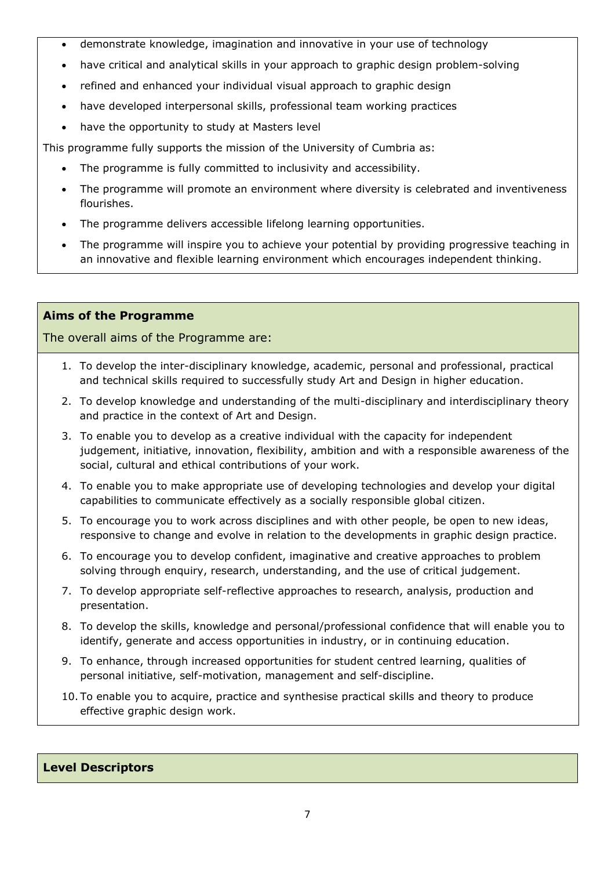- demonstrate knowledge, imagination and innovative in your use of technology
- have critical and analytical skills in your approach to graphic design problem-solving
- refined and enhanced your individual visual approach to graphic design
- have developed interpersonal skills, professional team working practices
- have the opportunity to study at Masters level

This programme fully supports the mission of the University of Cumbria as:

- The programme is fully committed to inclusivity and accessibility.
- The programme will promote an environment where diversity is celebrated and inventiveness flourishes.
- The programme delivers accessible lifelong learning opportunities.
- The programme will inspire you to achieve your potential by providing progressive teaching in an innovative and flexible learning environment which encourages independent thinking.

# **Aims of the Programme**

The overall aims of the Programme are:

- 1. To develop the inter-disciplinary knowledge, academic, personal and professional, practical and technical skills required to successfully study Art and Design in higher education.
- 2. To develop knowledge and understanding of the multi-disciplinary and interdisciplinary theory and practice in the context of Art and Design.
- 3. To enable you to develop as a creative individual with the capacity for independent judgement, initiative, innovation, flexibility, ambition and with a responsible awareness of the social, cultural and ethical contributions of your work.
- 4. To enable you to make appropriate use of developing technologies and develop your digital capabilities to communicate effectively as a socially responsible global citizen.
- 5. To encourage you to work across disciplines and with other people, be open to new ideas, responsive to change and evolve in relation to the developments in graphic design practice.
- 6. To encourage you to develop confident, imaginative and creative approaches to problem solving through enquiry, research, understanding, and the use of critical judgement.
- 7. To develop appropriate self-reflective approaches to research, analysis, production and presentation.
- 8. To develop the skills, knowledge and personal/professional confidence that will enable you to identify, generate and access opportunities in industry, or in continuing education.
- 9. To enhance, through increased opportunities for student centred learning, qualities of personal initiative, self-motivation, management and self-discipline.
- 10. To enable you to acquire, practice and synthesise practical skills and theory to produce effective graphic design work.

#### **Level Descriptors**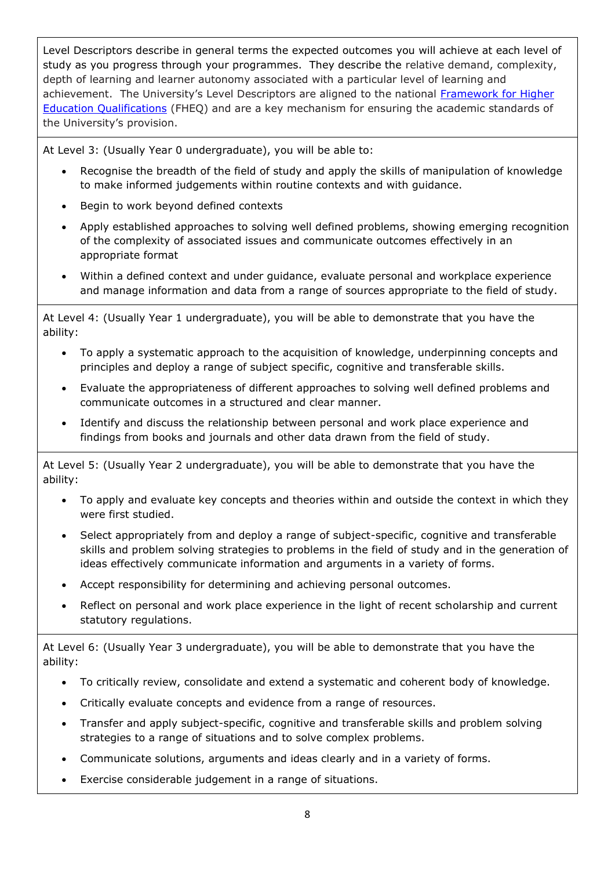Level Descriptors describe in general terms the expected outcomes you will achieve at each level of study as you progress through your programmes. They describe the relative demand, complexity, depth of learning and learner autonomy associated with a particular level of learning and achievement. The University's Level Descriptors are aligned to the national Framework for Higher [Education Qualifications](http://www.qaa.ac.uk/Publications/InformationAndGuidance/Pages/The-framework-for-higher-education-qualifications-in-England-Wales-and-Northern-Ireland.aspx) (FHEQ) and are a key mechanism for ensuring the academic standards of the University's provision.

At Level 3: (Usually Year 0 undergraduate), you will be able to:

- Recognise the breadth of the field of study and apply the skills of manipulation of knowledge to make informed judgements within routine contexts and with guidance.
- Begin to work beyond defined contexts
- Apply established approaches to solving well defined problems, showing emerging recognition of the complexity of associated issues and communicate outcomes effectively in an appropriate format
- Within a defined context and under guidance, evaluate personal and workplace experience and manage information and data from a range of sources appropriate to the field of study.

At Level 4: (Usually Year 1 undergraduate), you will be able to demonstrate that you have the ability:

- To apply a systematic approach to the acquisition of knowledge, underpinning concepts and principles and deploy a range of subject specific, cognitive and transferable skills.
- Evaluate the appropriateness of different approaches to solving well defined problems and communicate outcomes in a structured and clear manner.
- Identify and discuss the relationship between personal and work place experience and findings from books and journals and other data drawn from the field of study.

At Level 5: (Usually Year 2 undergraduate), you will be able to demonstrate that you have the ability:

- To apply and evaluate key concepts and theories within and outside the context in which they were first studied.
- Select appropriately from and deploy a range of subject-specific, cognitive and transferable skills and problem solving strategies to problems in the field of study and in the generation of ideas effectively communicate information and arguments in a variety of forms.
- Accept responsibility for determining and achieving personal outcomes.
- Reflect on personal and work place experience in the light of recent scholarship and current statutory regulations.

At Level 6: (Usually Year 3 undergraduate), you will be able to demonstrate that you have the ability:

- To critically review, consolidate and extend a systematic and coherent body of knowledge.
- Critically evaluate concepts and evidence from a range of resources.
- Transfer and apply subject-specific, cognitive and transferable skills and problem solving strategies to a range of situations and to solve complex problems.
- Communicate solutions, arguments and ideas clearly and in a variety of forms.
- Exercise considerable judgement in a range of situations.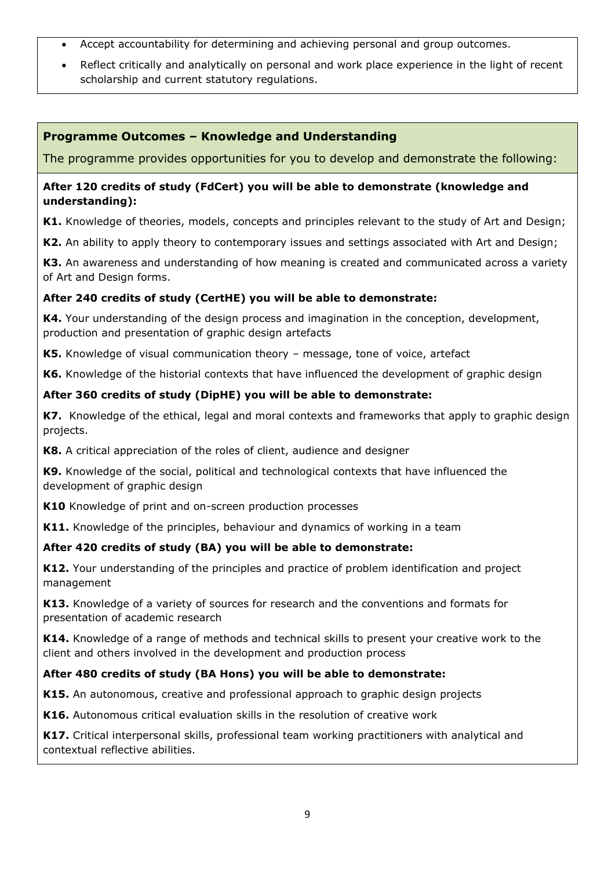- Accept accountability for determining and achieving personal and group outcomes.
- Reflect critically and analytically on personal and work place experience in the light of recent scholarship and current statutory regulations.

# **Programme Outcomes – Knowledge and Understanding**

The programme provides opportunities for you to develop and demonstrate the following:

#### **After 120 credits of study (FdCert) you will be able to demonstrate (knowledge and understanding):**

**K1.** Knowledge of theories, models, concepts and principles relevant to the study of Art and Design;

**K2.** An ability to apply theory to contemporary issues and settings associated with Art and Design;

**K3.** An awareness and understanding of how meaning is created and communicated across a variety of Art and Design forms.

# **After 240 credits of study (CertHE) you will be able to demonstrate:**

**K4.** Your understanding of the design process and imagination in the conception, development, production and presentation of graphic design artefacts

**K5.** Knowledge of visual communication theory – message, tone of voice, artefact

**K6.** Knowledge of the historial contexts that have influenced the development of graphic design

#### **After 360 credits of study (DipHE) you will be able to demonstrate:**

**K7.** Knowledge of the ethical, legal and moral contexts and frameworks that apply to graphic design projects.

**K8.** A critical appreciation of the roles of client, audience and designer

**K9.** Knowledge of the social, political and technological contexts that have influenced the development of graphic design

**K10** Knowledge of print and on-screen production processes

**K11.** Knowledge of the principles, behaviour and dynamics of working in a team

# **After 420 credits of study (BA) you will be able to demonstrate:**

**K12.** Your understanding of the principles and practice of problem identification and project management

**K13.** Knowledge of a variety of sources for research and the conventions and formats for presentation of academic research

**K14.** Knowledge of a range of methods and technical skills to present your creative work to the client and others involved in the development and production process

# **After 480 credits of study (BA Hons) you will be able to demonstrate:**

**K15.** An autonomous, creative and professional approach to graphic design projects

**K16.** Autonomous critical evaluation skills in the resolution of creative work

**K17.** Critical interpersonal skills, professional team working practitioners with analytical and contextual reflective abilities.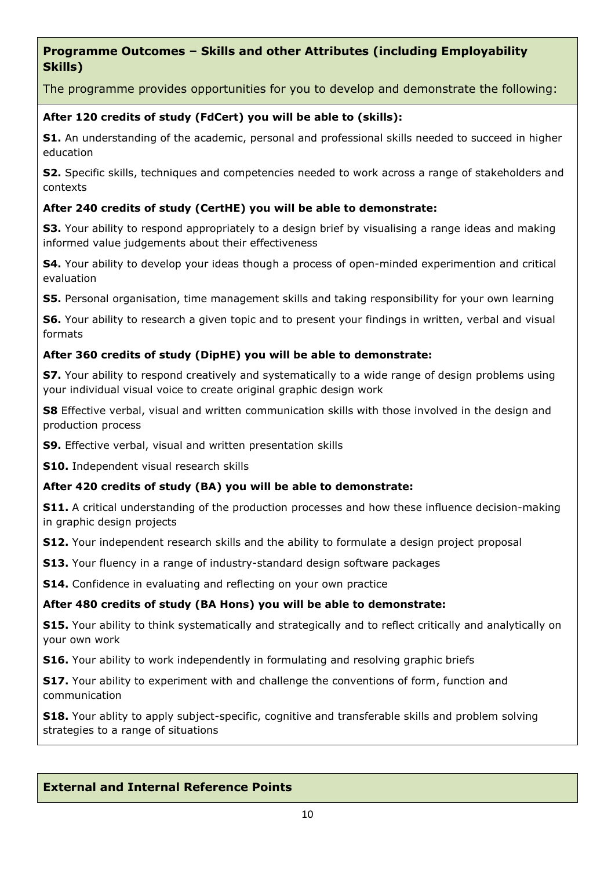# **Programme Outcomes – Skills and other Attributes (including Employability Skills)**

The programme provides opportunities for you to develop and demonstrate the following:

# **After 120 credits of study (FdCert) you will be able to (skills):**

**S1.** An understanding of the academic, personal and professional skills needed to succeed in higher education

**S2.** Specific skills, techniques and competencies needed to work across a range of stakeholders and contexts

# **After 240 credits of study (CertHE) you will be able to demonstrate:**

**S3.** Your ability to respond appropriately to a design brief by visualising a range ideas and making informed value judgements about their effectiveness

**S4.** Your ability to develop your ideas though a process of open-minded experimention and critical evaluation

**S5.** Personal organisation, time management skills and taking responsibility for your own learning

**S6.** Your ability to research a given topic and to present your findings in written, verbal and visual formats

# **After 360 credits of study (DipHE) you will be able to demonstrate:**

**S7.** Your ability to respond creatively and systematically to a wide range of design problems using your individual visual voice to create original graphic design work

**S8** Effective verbal, visual and written communication skills with those involved in the design and production process

**S9.** Effective verbal, visual and written presentation skills

**S10.** Independent visual research skills

# **After 420 credits of study (BA) you will be able to demonstrate:**

**S11.** A critical understanding of the production processes and how these influence decision-making in graphic design projects

**S12.** Your independent research skills and the ability to formulate a design project proposal

**S13.** Your fluency in a range of industry-standard design software packages

**S14.** Confidence in evaluating and reflecting on your own practice

# **After 480 credits of study (BA Hons) you will be able to demonstrate:**

**S15.** Your ability to think systematically and strategically and to reflect critically and analytically on your own work

**S16.** Your ability to work independently in formulating and resolving graphic briefs

**S17.** Your ability to experiment with and challenge the conventions of form, function and communication

**S18.** Your ablity to apply subject-specific, cognitive and transferable skills and problem solving strategies to a range of situations

# **External and Internal Reference Points**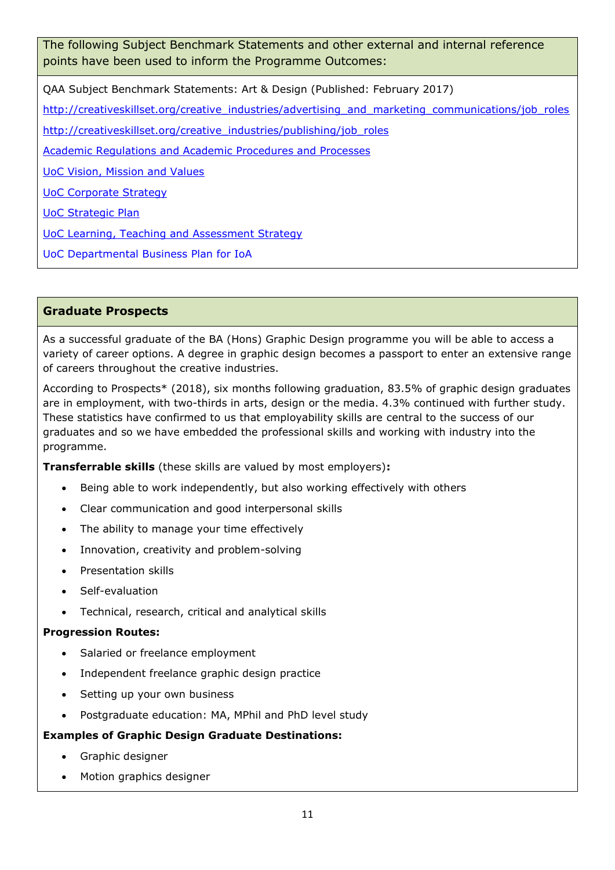The following Subject Benchmark Statements and other external and internal reference points have been used to inform the Programme Outcomes:

QAA Subject Benchmark Statements: Art & Design (Published: February 2017)

[http://creativeskillset.org/creative\\_industries/advertising\\_and\\_marketing\\_communications/job\\_roles](http://creativeskillset.org/creative_industries/advertising_and_marketing_communications/job_roles)

[http://creativeskillset.org/creative\\_industries/publishing/job\\_roles](http://creativeskillset.org/creative_industries/publishing/job_roles)

[Academic Regulations and Academic Procedures and Processes](https://unicumbriaac.sharepoint.com/sites/CL/CorporateLibrary/Academic%20Regulations%202018-19.pdf)

[UoC Vision, Mission and Values](https://www.cumbria.ac.uk/about/organisation/mission-vision-and-values/)

[UoC Corporate Strategy](file://///uoc.local/departments/AQD/QUALITY/QA%20Team/Validation/Validation%20-%20Policy%20and%20Guidance/TEMPLATES/Validation%20document%20set/•https:/www.cumbria.ac.uk/media/university-of-cumbria-website/content-assets/public/vco/documents/communications/publications/CorporateStrategy2015-18.pdf)

[UoC Strategic Plan](https://www.cumbria.ac.uk/about/publications/strategic-plan/)

[UoC Learning, Teaching and Assessment Strategy](https://www.cumbria.ac.uk/media/university-of-cumbria-website/content-assets/public/aqs/documents/LearningTeachingAssessmentStrategy.pdf)

UoC Departmental Business Plan for IoA

# **Graduate Prospects**

As a successful graduate of the BA (Hons) Graphic Design programme you will be able to access a variety of career options. A degree in graphic design becomes a passport to enter an extensive range of careers throughout the creative industries.

According to Prospects\* (2018), six months following graduation, 83.5% of graphic design graduates are in employment, with two-thirds in arts, design or the media. 4.3% continued with further study. These statistics have confirmed to us that employability skills are central to the success of our graduates and so we have embedded the professional skills and working with industry into the programme.

**Transferrable skills** (these skills are valued by most employers)**:**

- Being able to work independently, but also working effectively with others
- Clear communication and good interpersonal skills
- The ability to manage your time effectively
- Innovation, creativity and problem-solving
- Presentation skills
- Self-evaluation
- Technical, research, critical and analytical skills

#### **Progression Routes:**

- Salaried or freelance employment
- Independent freelance graphic design practice
- Setting up your own business
- Postgraduate education: MA, MPhil and PhD level study

#### **Examples of Graphic Design Graduate Destinations:**

- Graphic designer
- Motion graphics designer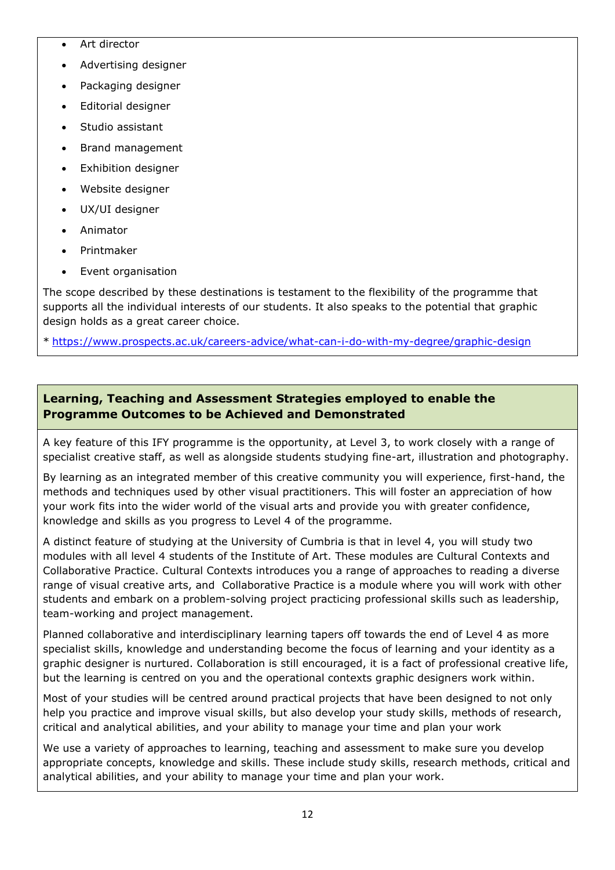- Art director
- Advertising designer
- Packaging designer
- Editorial designer
- Studio assistant
- Brand management
- Exhibition designer
- Website designer
- UX/UI designer
- Animator
- Printmaker
- Event organisation

The scope described by these destinations is testament to the flexibility of the programme that supports all the individual interests of our students. It also speaks to the potential that graphic design holds as a great career choice.

\* <https://www.prospects.ac.uk/careers-advice/what-can-i-do-with-my-degree/graphic-design>

# **Learning, Teaching and Assessment Strategies employed to enable the Programme Outcomes to be Achieved and Demonstrated**

A key feature of this IFY programme is the opportunity, at Level 3, to work closely with a range of specialist creative staff, as well as alongside students studying fine-art, illustration and photography.

By learning as an integrated member of this creative community you will experience, first-hand, the methods and techniques used by other visual practitioners. This will foster an appreciation of how your work fits into the wider world of the visual arts and provide you with greater confidence, knowledge and skills as you progress to Level 4 of the programme.

A distinct feature of studying at the University of Cumbria is that in level 4, you will study two modules with all level 4 students of the Institute of Art. These modules are Cultural Contexts and Collaborative Practice. Cultural Contexts introduces you a range of approaches to reading a diverse range of visual creative arts, and Collaborative Practice is a module where you will work with other students and embark on a problem-solving project practicing professional skills such as leadership, team-working and project management.

Planned collaborative and interdisciplinary learning tapers off towards the end of Level 4 as more specialist skills, knowledge and understanding become the focus of learning and your identity as a graphic designer is nurtured. Collaboration is still encouraged, it is a fact of professional creative life, but the learning is centred on you and the operational contexts graphic designers work within.

Most of your studies will be centred around practical projects that have been designed to not only help you practice and improve visual skills, but also develop your study skills, methods of research, critical and analytical abilities, and your ability to manage your time and plan your work

We use a variety of approaches to learning, teaching and assessment to make sure you develop appropriate concepts, knowledge and skills. These include study skills, research methods, critical and analytical abilities, and your ability to manage your time and plan your work.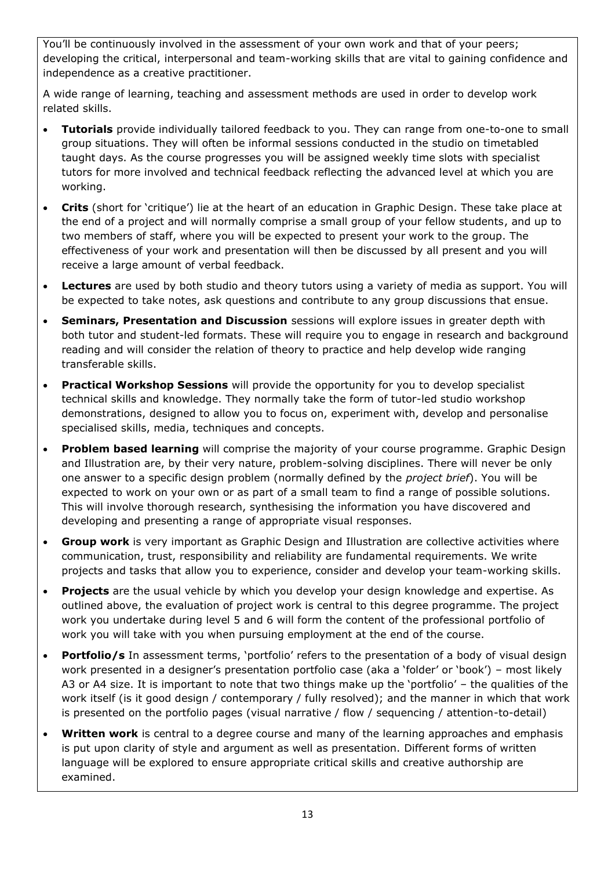You'll be continuously involved in the assessment of your own work and that of your peers; developing the critical, interpersonal and team-working skills that are vital to gaining confidence and independence as a creative practitioner.

A wide range of learning, teaching and assessment methods are used in order to develop work related skills.

- **Tutorials** provide individually tailored feedback to you. They can range from one-to-one to small group situations. They will often be informal sessions conducted in the studio on timetabled taught days. As the course progresses you will be assigned weekly time slots with specialist tutors for more involved and technical feedback reflecting the advanced level at which you are working.
- **Crits** (short for 'critique') lie at the heart of an education in Graphic Design. These take place at the end of a project and will normally comprise a small group of your fellow students, and up to two members of staff, where you will be expected to present your work to the group. The effectiveness of your work and presentation will then be discussed by all present and you will receive a large amount of verbal feedback.
- **Lectures** are used by both studio and theory tutors using a variety of media as support. You will be expected to take notes, ask questions and contribute to any group discussions that ensue.
- **Seminars, Presentation and Discussion** sessions will explore issues in greater depth with both tutor and student-led formats. These will require you to engage in research and background reading and will consider the relation of theory to practice and help develop wide ranging transferable skills.
- **Practical Workshop Sessions** will provide the opportunity for you to develop specialist technical skills and knowledge. They normally take the form of tutor-led studio workshop demonstrations, designed to allow you to focus on, experiment with, develop and personalise specialised skills, media, techniques and concepts.
- **Problem based learning** will comprise the majority of your course programme. Graphic Design and Illustration are, by their very nature, problem-solving disciplines. There will never be only one answer to a specific design problem (normally defined by the *project brief*). You will be expected to work on your own or as part of a small team to find a range of possible solutions. This will involve thorough research, synthesising the information you have discovered and developing and presenting a range of appropriate visual responses.
- **Group work** is very important as Graphic Design and Illustration are collective activities where communication, trust, responsibility and reliability are fundamental requirements. We write projects and tasks that allow you to experience, consider and develop your team-working skills.
- **Projects** are the usual vehicle by which you develop your design knowledge and expertise. As outlined above, the evaluation of project work is central to this degree programme. The project work you undertake during level 5 and 6 will form the content of the professional portfolio of work you will take with you when pursuing employment at the end of the course.
- **Portfolio/s** In assessment terms, 'portfolio' refers to the presentation of a body of visual design work presented in a designer's presentation portfolio case (aka a 'folder' or 'book') – most likely A3 or A4 size. It is important to note that two things make up the 'portfolio' – the qualities of the work itself (is it good design / contemporary / fully resolved); and the manner in which that work is presented on the portfolio pages (visual narrative / flow / sequencing / attention-to-detail)
- **Written work** is central to a degree course and many of the learning approaches and emphasis is put upon clarity of style and argument as well as presentation. Different forms of written language will be explored to ensure appropriate critical skills and creative authorship are examined.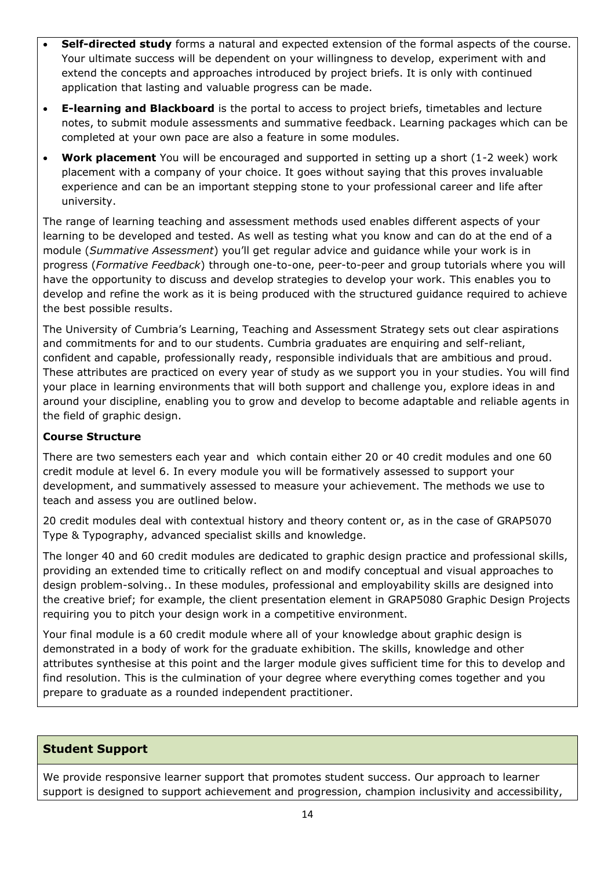- **Self-directed study** forms a natural and expected extension of the formal aspects of the course. Your ultimate success will be dependent on your willingness to develop, experiment with and extend the concepts and approaches introduced by project briefs. It is only with continued application that lasting and valuable progress can be made.
- **E-learning and Blackboard** is the portal to access to project briefs, timetables and lecture notes, to submit module assessments and summative feedback. Learning packages which can be completed at your own pace are also a feature in some modules.
- **Work placement** You will be encouraged and supported in setting up a short (1-2 week) work placement with a company of your choice. It goes without saying that this proves invaluable experience and can be an important stepping stone to your professional career and life after university.

The range of learning teaching and assessment methods used enables different aspects of your learning to be developed and tested. As well as testing what you know and can do at the end of a module (*Summative Assessment*) you'll get regular advice and guidance while your work is in progress (*Formative Feedback*) through one-to-one, peer-to-peer and group tutorials where you will have the opportunity to discuss and develop strategies to develop your work. This enables you to develop and refine the work as it is being produced with the structured guidance required to achieve the best possible results.

The University of Cumbria's Learning, Teaching and Assessment Strategy sets out clear aspirations and commitments for and to our students. Cumbria graduates are enquiring and self-reliant, confident and capable, professionally ready, responsible individuals that are ambitious and proud. These attributes are practiced on every year of study as we support you in your studies. You will find your place in learning environments that will both support and challenge you, explore ideas in and around your discipline, enabling you to grow and develop to become adaptable and reliable agents in the field of graphic design.

# **Course Structure**

There are two semesters each year and which contain either 20 or 40 credit modules and one 60 credit module at level 6. In every module you will be formatively assessed to support your development, and summatively assessed to measure your achievement. The methods we use to teach and assess you are outlined below.

20 credit modules deal with contextual history and theory content or, as in the case of GRAP5070 Type & Typography, advanced specialist skills and knowledge.

The longer 40 and 60 credit modules are dedicated to graphic design practice and professional skills, providing an extended time to critically reflect on and modify conceptual and visual approaches to design problem-solving.. In these modules, professional and employability skills are designed into the creative brief; for example, the client presentation element in GRAP5080 Graphic Design Projects requiring you to pitch your design work in a competitive environment.

Your final module is a 60 credit module where all of your knowledge about graphic design is demonstrated in a body of work for the graduate exhibition. The skills, knowledge and other attributes synthesise at this point and the larger module gives sufficient time for this to develop and find resolution. This is the culmination of your degree where everything comes together and you prepare to graduate as a rounded independent practitioner.

# **Student Support**

We provide responsive learner support that promotes student success. Our approach to learner support is designed to support achievement and progression, champion inclusivity and accessibility,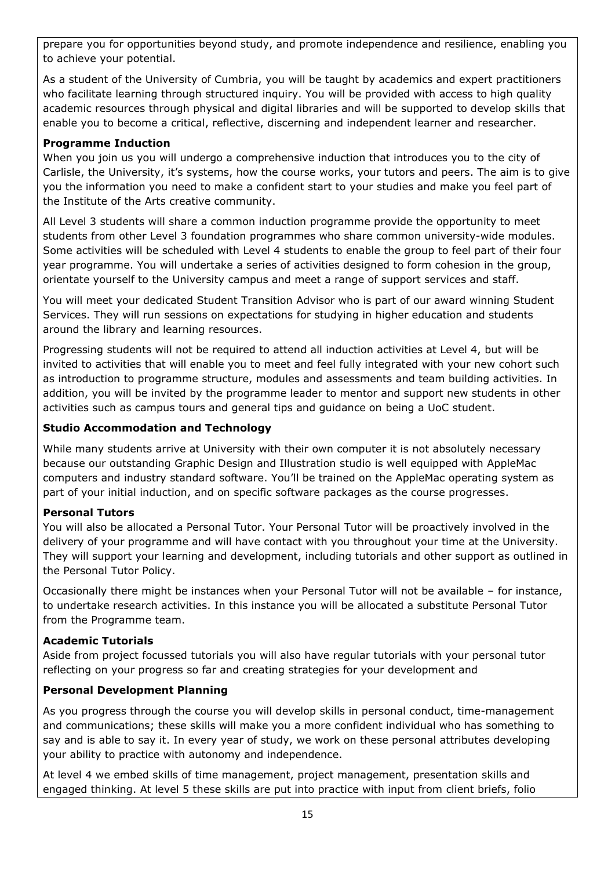prepare you for opportunities beyond study, and promote independence and resilience, enabling you to achieve your potential.

As a student of the University of Cumbria, you will be taught by academics and expert practitioners who facilitate learning through structured inquiry. You will be provided with access to high quality academic resources through physical and digital libraries and will be supported to develop skills that enable you to become a critical, reflective, discerning and independent learner and researcher.

### **Programme Induction**

When you join us you will undergo a comprehensive induction that introduces you to the city of Carlisle, the University, it's systems, how the course works, your tutors and peers. The aim is to give you the information you need to make a confident start to your studies and make you feel part of the Institute of the Arts creative community.

All Level 3 students will share a common induction programme provide the opportunity to meet students from other Level 3 foundation programmes who share common university-wide modules. Some activities will be scheduled with Level 4 students to enable the group to feel part of their four year programme. You will undertake a series of activities designed to form cohesion in the group, orientate yourself to the University campus and meet a range of support services and staff.

You will meet your dedicated Student Transition Advisor who is part of our award winning Student Services. They will run sessions on expectations for studying in higher education and students around the library and learning resources.

Progressing students will not be required to attend all induction activities at Level 4, but will be invited to activities that will enable you to meet and feel fully integrated with your new cohort such as introduction to programme structure, modules and assessments and team building activities. In addition, you will be invited by the programme leader to mentor and support new students in other activities such as campus tours and general tips and guidance on being a UoC student.

### **Studio Accommodation and Technology**

While many students arrive at University with their own computer it is not absolutely necessary because our outstanding Graphic Design and Illustration studio is well equipped with AppleMac computers and industry standard software. You'll be trained on the AppleMac operating system as part of your initial induction, and on specific software packages as the course progresses.

#### **Personal Tutors**

You will also be allocated a Personal Tutor. Your Personal Tutor will be proactively involved in the delivery of your programme and will have contact with you throughout your time at the University. They will support your learning and development, including tutorials and other support as outlined in the Personal Tutor Policy.

Occasionally there might be instances when your Personal Tutor will not be available – for instance, to undertake research activities. In this instance you will be allocated a substitute Personal Tutor from the Programme team.

#### **Academic Tutorials**

Aside from project focussed tutorials you will also have regular tutorials with your personal tutor reflecting on your progress so far and creating strategies for your development and

# **Personal Development Planning**

As you progress through the course you will develop skills in personal conduct, time-management and communications; these skills will make you a more confident individual who has something to say and is able to say it. In every year of study, we work on these personal attributes developing your ability to practice with autonomy and independence.

At level 4 we embed skills of time management, project management, presentation skills and engaged thinking. At level 5 these skills are put into practice with input from client briefs, folio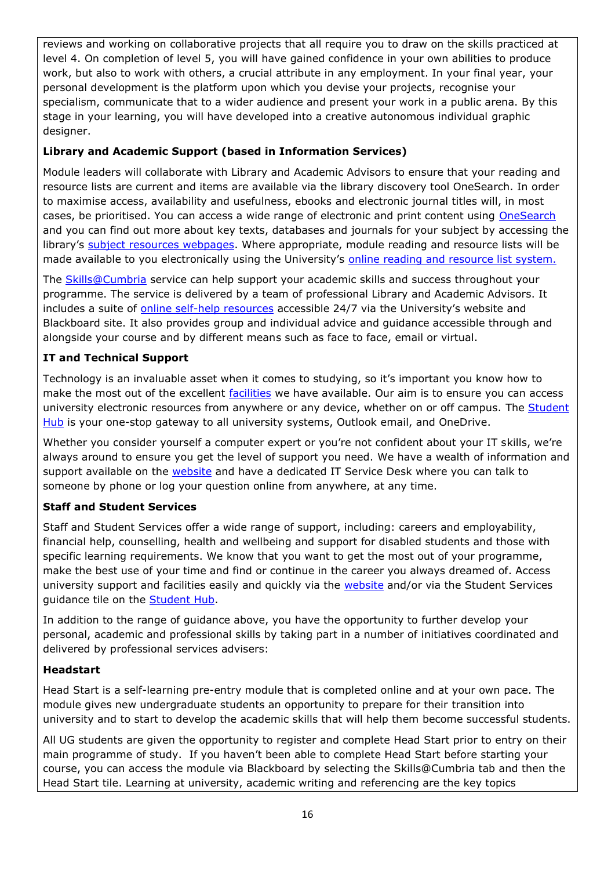reviews and working on collaborative projects that all require you to draw on the skills practiced at level 4. On completion of level 5, you will have gained confidence in your own abilities to produce work, but also to work with others, a crucial attribute in any employment. In your final year, your personal development is the platform upon which you devise your projects, recognise your specialism, communicate that to a wider audience and present your work in a public arena. By this stage in your learning, you will have developed into a creative autonomous individual graphic designer.

# **Library and Academic Support (based in Information Services)**

Module leaders will collaborate with Library and Academic Advisors to ensure that your reading and resource lists are current and items are available via the library discovery tool OneSearch. In order to maximise access, availability and usefulness, ebooks and electronic journal titles will, in most cases, be prioritised. You can access a wide range of electronic and print content using [OneSearch](http://cumbria-primo.hosted.exlibrisgroup.com/primo_library/libweb/action/search.do?vid=44UOC_VU1) and you can find out more about key texts, databases and journals for your subject by accessing the library's [subject resources webpages.](http://my.cumbria.ac.uk/StudentLife/Learning/Resources/Subjects/Home.aspx) Where appropriate, module reading and resource lists will be made available to you electronically using the University's [online reading and resource list system.](https://cumbria.rebuslist.com/)

The **Skills@Cumbria** service can help support your academic skills and success throughout your programme. The service is delivered by a team of professional Library and Academic Advisors. It includes a suite of [online self-help resources](https://my.cumbria.ac.uk/Student-Life/Learning/Skills-Cumbria/) accessible 24/7 via the University's website and Blackboard site. It also provides group and individual advice and guidance accessible through and alongside your course and by different means such as face to face, email or virtual.

# **IT and Technical Support**

Technology is an invaluable asset when it comes to studying, so it's important you know how to make the most out of the excellent [facilities](https://www.cumbria.ac.uk/student-life/facilities/it-facilities/) we have available. Our aim is to ensure you can access university electronic resources from anywhere or any device, whether on or off campus. The Student [Hub](https://universityofcumbria.mydaycloud.com/dashboard/allsorts) is your one-stop gateway to all university systems, Outlook email, and OneDrive.

Whether you consider yourself a computer expert or you're not confident about your IT skills, we're always around to ensure you get the level of support you need. We have a wealth of information and support available on the [website](https://my.cumbria.ac.uk/Student-Life/it-media/) and have a dedicated IT Service Desk where you can talk to someone by phone or log your question online from anywhere, at any time.

# **Staff and Student Services**

Staff and Student Services offer a wide range of support, including: careers and employability, financial help, counselling, health and wellbeing and support for disabled students and those with specific learning requirements. We know that you want to get the most out of your programme, make the best use of your time and find or continue in the career you always dreamed of. Access university support and facilities easily and quickly via the [website](https://my.cumbria.ac.uk/) and/or via the Student Services guidance tile on the **Student Hub.** 

In addition to the range of guidance above, you have the opportunity to further develop your personal, academic and professional skills by taking part in a number of initiatives coordinated and delivered by professional services advisers:

# **Headstart**

Head Start is a self-learning pre-entry module that is completed online and at your own pace. The module gives new undergraduate students an opportunity to prepare for their transition into university and to start to develop the academic skills that will help them become successful students.

All UG students are given the opportunity to register and complete Head Start prior to entry on their main programme of study. If you haven't been able to complete Head Start before starting your course, you can access the module via Blackboard by selecting the Skills@Cumbria tab and then the Head Start tile. Learning at university, academic writing and referencing are the key topics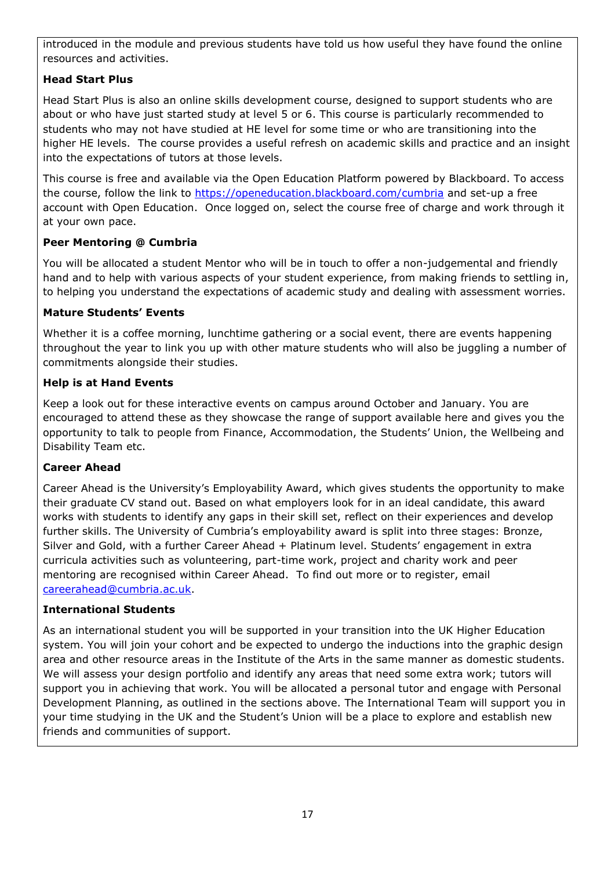introduced in the module and previous students have told us how useful they have found the online resources and activities.

# **Head Start Plus**

Head Start Plus is also an online skills development course, designed to support students who are about or who have just started study at level 5 or 6. This course is particularly recommended to students who may not have studied at HE level for some time or who are transitioning into the higher HE levels. The course provides a useful refresh on academic skills and practice and an insight into the expectations of tutors at those levels.

This course is free and available via the Open Education Platform powered by Blackboard. To access the course, follow the link to<https://openeducation.blackboard.com/cumbria> and set-up a free account with Open Education. Once logged on, select the course free of charge and work through it at your own pace.

# **Peer Mentoring @ Cumbria**

You will be allocated a student Mentor who will be in touch to offer a non-judgemental and friendly hand and to help with various aspects of your student experience, from making friends to settling in, to helping you understand the expectations of academic study and dealing with assessment worries.

### **Mature Students' Events**

Whether it is a coffee morning, lunchtime gathering or a social event, there are events happening throughout the year to link you up with other mature students who will also be juggling a number of commitments alongside their studies.

### **Help is at Hand Events**

Keep a look out for these interactive events on campus around October and January. You are encouraged to attend these as they showcase the range of support available here and gives you the opportunity to talk to people from Finance, Accommodation, the Students' Union, the Wellbeing and Disability Team etc.

#### **Career Ahead**

Career Ahead is the University's Employability Award, which gives students the opportunity to make their graduate CV stand out. Based on what employers look for in an ideal candidate, this award works with students to identify any gaps in their skill set, reflect on their experiences and develop further skills. The University of Cumbria's employability award is split into three stages: Bronze, Silver and Gold, with a further Career Ahead + Platinum level. Students' engagement in extra curricula activities such as volunteering, part-time work, project and charity work and peer mentoring are recognised within Career Ahead. To find out more or to register, email [careerahead@cumbria.ac.uk.](mailto:careerahead@cumbria.ac.uk)

#### **International Students**

As an international student you will be supported in your transition into the UK Higher Education system. You will join your cohort and be expected to undergo the inductions into the graphic design area and other resource areas in the Institute of the Arts in the same manner as domestic students. We will assess your design portfolio and identify any areas that need some extra work; tutors will support you in achieving that work. You will be allocated a personal tutor and engage with Personal Development Planning, as outlined in the sections above. The International Team will support you in your time studying in the UK and the Student's Union will be a place to explore and establish new friends and communities of support.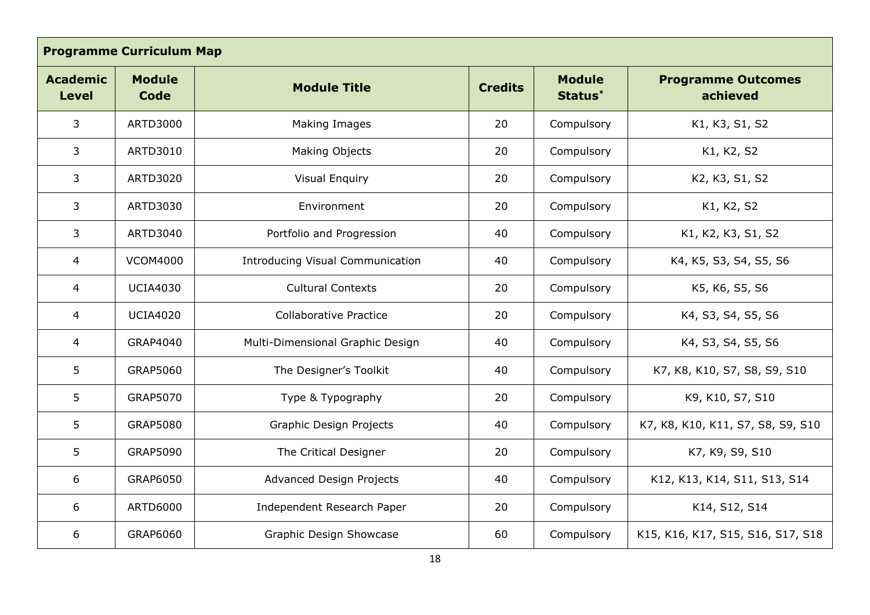| <b>Programme Curriculum Map</b> |                              |                                         |                |                          |                                       |
|---------------------------------|------------------------------|-----------------------------------------|----------------|--------------------------|---------------------------------------|
| <b>Academic</b><br><b>Level</b> | <b>Module</b><br><b>Code</b> | <b>Module Title</b>                     | <b>Credits</b> | <b>Module</b><br>Status* | <b>Programme Outcomes</b><br>achieved |
| 3                               | ARTD3000                     | Making Images                           | 20             | Compulsory               | K1, K3, S1, S2                        |
| 3                               | ARTD3010                     | Making Objects                          | 20             | Compulsory               | K1, K2, S2                            |
| 3                               | ARTD3020                     | <b>Visual Enquiry</b>                   | 20             | Compulsory               | K2, K3, S1, S2                        |
| 3                               | ARTD3030                     | Environment                             | 20             | Compulsory               | K1, K2, S2                            |
| 3                               | ARTD3040                     | Portfolio and Progression               | 40             | Compulsory               | K1, K2, K3, S1, S2                    |
| $\overline{4}$                  | <b>VCOM4000</b>              | <b>Introducing Visual Communication</b> | 40             | Compulsory               | K4, K5, S3, S4, S5, S6                |
| 4                               | <b>UCIA4030</b>              | <b>Cultural Contexts</b>                | 20             | Compulsory               | K5, K6, S5, S6                        |
| $\overline{4}$                  | <b>UCIA4020</b>              | <b>Collaborative Practice</b>           | 20             | Compulsory               | K4, S3, S4, S5, S6                    |
| $\overline{4}$                  | GRAP4040                     | Multi-Dimensional Graphic Design        | 40             | Compulsory               | K4, S3, S4, S5, S6                    |
| 5                               | GRAP5060                     | The Designer's Toolkit                  | 40             | Compulsory               | K7, K8, K10, S7, S8, S9, S10          |
| 5                               | GRAP5070                     | Type & Typography                       | 20             | Compulsory               | K9, K10, S7, S10                      |
| 5                               | <b>GRAP5080</b>              | Graphic Design Projects                 | 40             | Compulsory               | K7, K8, K10, K11, S7, S8, S9, S10     |
| 5                               | <b>GRAP5090</b>              | The Critical Designer                   | 20             | Compulsory               | K7, K9, S9, S10                       |
| 6                               | GRAP6050                     | Advanced Design Projects                | 40             | Compulsory               | K12, K13, K14, S11, S13, S14          |
| 6                               | ARTD6000                     | Independent Research Paper              | 20             | Compulsory               | K14, S12, S14                         |
| 6                               | GRAP6060                     | Graphic Design Showcase                 | 60             | Compulsory               | K15, K16, K17, S15, S16, S17, S18     |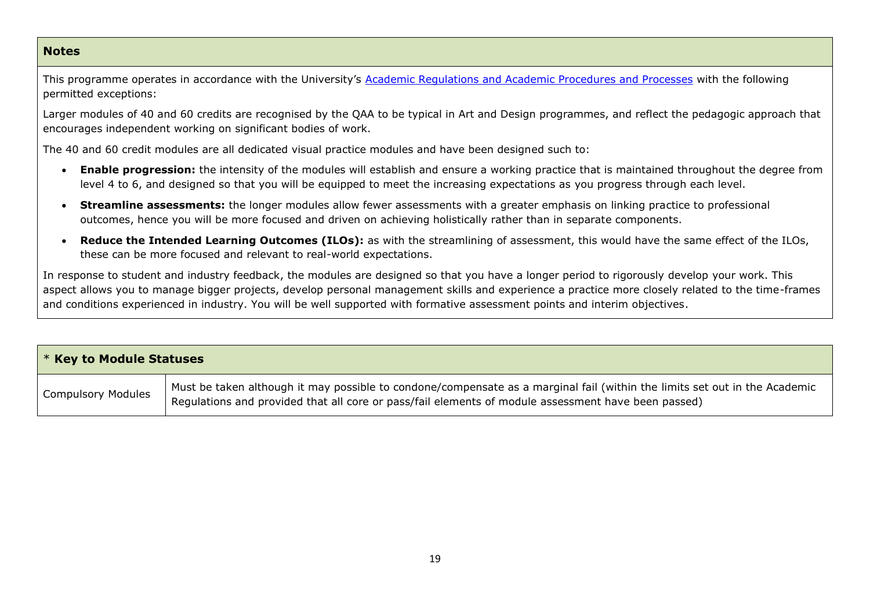#### **Notes**

This programme operates in accordance with the University's [Academic Regulations and Academic Procedures and Processes](https://unicumbriaac.sharepoint.com/sites/CL/CorporateLibrary/Academic%20Regulations%202018-19.pdf) with the following permitted exceptions:

Larger modules of 40 and 60 credits are recognised by the QAA to be typical in Art and Design programmes, and reflect the pedagogic approach that encourages independent working on significant bodies of work.

The 40 and 60 credit modules are all dedicated visual practice modules and have been designed such to:

- **Enable progression:** the intensity of the modules will establish and ensure a working practice that is maintained throughout the degree from level 4 to 6, and designed so that you will be equipped to meet the increasing expectations as you progress through each level.
- **Streamline assessments:** the longer modules allow fewer assessments with a greater emphasis on linking practice to professional outcomes, hence you will be more focused and driven on achieving holistically rather than in separate components.
- **Reduce the Intended Learning Outcomes (ILOs):** as with the streamlining of assessment, this would have the same effect of the ILOs, these can be more focused and relevant to real-world expectations.

In response to student and industry feedback, the modules are designed so that you have a longer period to rigorously develop your work. This aspect allows you to manage bigger projects, develop personal management skills and experience a practice more closely related to the time-frames and conditions experienced in industry. You will be well supported with formative assessment points and interim objectives.

| * Key to Module Statuses  |                                                                                                                                                                                                                                   |  |
|---------------------------|-----------------------------------------------------------------------------------------------------------------------------------------------------------------------------------------------------------------------------------|--|
| <b>Compulsory Modules</b> | Must be taken although it may possible to condone/compensate as a marginal fail (within the limits set out in the Academic<br>Regulations and provided that all core or pass/fail elements of module assessment have been passed) |  |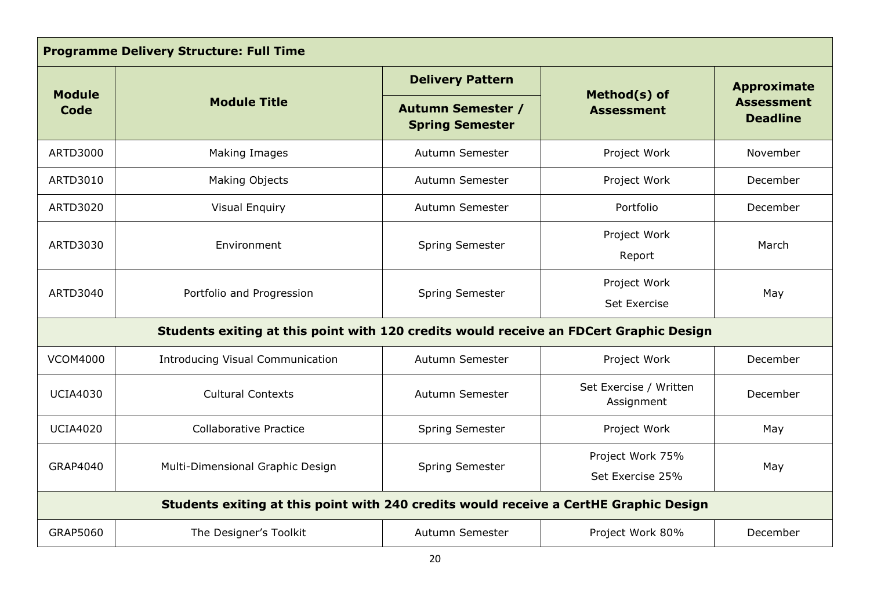| <b>Programme Delivery Structure: Full Time</b>                                        |                                                                                        |                                                    |                                      |                                      |
|---------------------------------------------------------------------------------------|----------------------------------------------------------------------------------------|----------------------------------------------------|--------------------------------------|--------------------------------------|
| <b>Module</b>                                                                         |                                                                                        | <b>Delivery Pattern</b>                            |                                      | <b>Approximate</b>                   |
| Code                                                                                  | <b>Module Title</b>                                                                    | <b>Autumn Semester /</b><br><b>Spring Semester</b> | Method(s) of<br><b>Assessment</b>    | <b>Assessment</b><br><b>Deadline</b> |
| <b>ARTD3000</b>                                                                       | Making Images                                                                          | Autumn Semester                                    | Project Work                         | November                             |
| ARTD3010                                                                              | <b>Making Objects</b>                                                                  | Autumn Semester                                    | Project Work                         | December                             |
| <b>ARTD3020</b>                                                                       | <b>Visual Enquiry</b>                                                                  | Autumn Semester                                    | Portfolio                            | December                             |
| ARTD3030                                                                              | Environment                                                                            | Spring Semester                                    | Project Work<br>Report               | March                                |
| ARTD3040                                                                              | Portfolio and Progression                                                              | Spring Semester                                    | Project Work<br><b>Set Exercise</b>  | May                                  |
|                                                                                       | Students exiting at this point with 120 credits would receive an FDCert Graphic Design |                                                    |                                      |                                      |
| <b>VCOM4000</b>                                                                       | <b>Introducing Visual Communication</b>                                                | Autumn Semester                                    | Project Work                         | December                             |
| <b>UCIA4030</b>                                                                       | <b>Cultural Contexts</b>                                                               | Autumn Semester                                    | Set Exercise / Written<br>Assignment | December                             |
| <b>UCIA4020</b>                                                                       | <b>Collaborative Practice</b>                                                          | <b>Spring Semester</b>                             | Project Work                         | May                                  |
| GRAP4040                                                                              | Multi-Dimensional Graphic Design                                                       | <b>Spring Semester</b>                             | Project Work 75%<br>Set Exercise 25% | May                                  |
| Students exiting at this point with 240 credits would receive a CertHE Graphic Design |                                                                                        |                                                    |                                      |                                      |
| GRAP5060                                                                              | The Designer's Toolkit                                                                 | Autumn Semester                                    | Project Work 80%                     | December                             |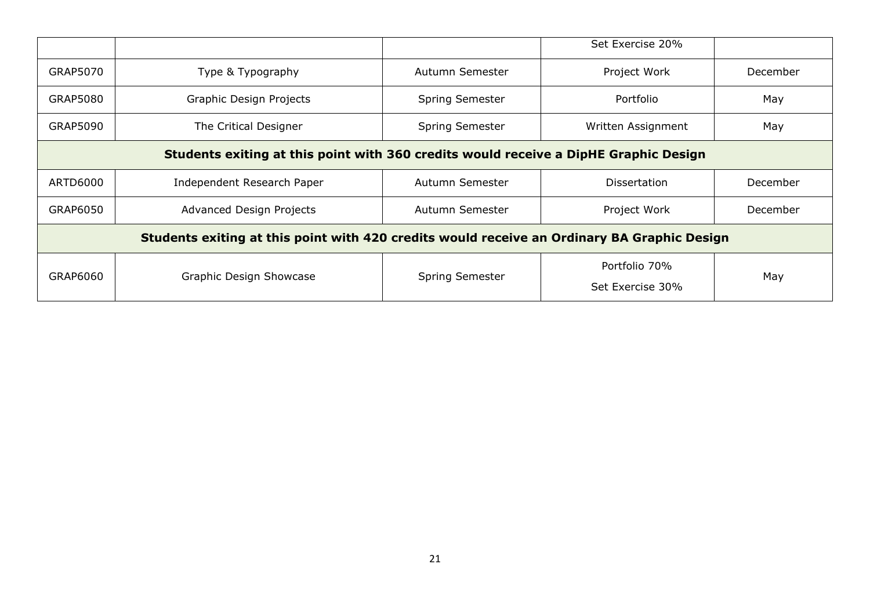|                                                                                             |                                 |                        | Set Exercise 20%                  |          |
|---------------------------------------------------------------------------------------------|---------------------------------|------------------------|-----------------------------------|----------|
| <b>GRAP5070</b>                                                                             | Type & Typography               | Autumn Semester        | Project Work                      | December |
| GRAP5080                                                                                    | Graphic Design Projects         | <b>Spring Semester</b> | Portfolio                         | May      |
| GRAP5090                                                                                    | The Critical Designer           | <b>Spring Semester</b> | Written Assignment                | May      |
| Students exiting at this point with 360 credits would receive a DipHE Graphic Design        |                                 |                        |                                   |          |
| ARTD6000                                                                                    | Independent Research Paper      | Autumn Semester        | <b>Dissertation</b>               | December |
| GRAP6050                                                                                    | <b>Advanced Design Projects</b> | Autumn Semester        | Project Work                      | December |
| Students exiting at this point with 420 credits would receive an Ordinary BA Graphic Design |                                 |                        |                                   |          |
| GRAP6060                                                                                    | Graphic Design Showcase         | <b>Spring Semester</b> | Portfolio 70%<br>Set Exercise 30% | May      |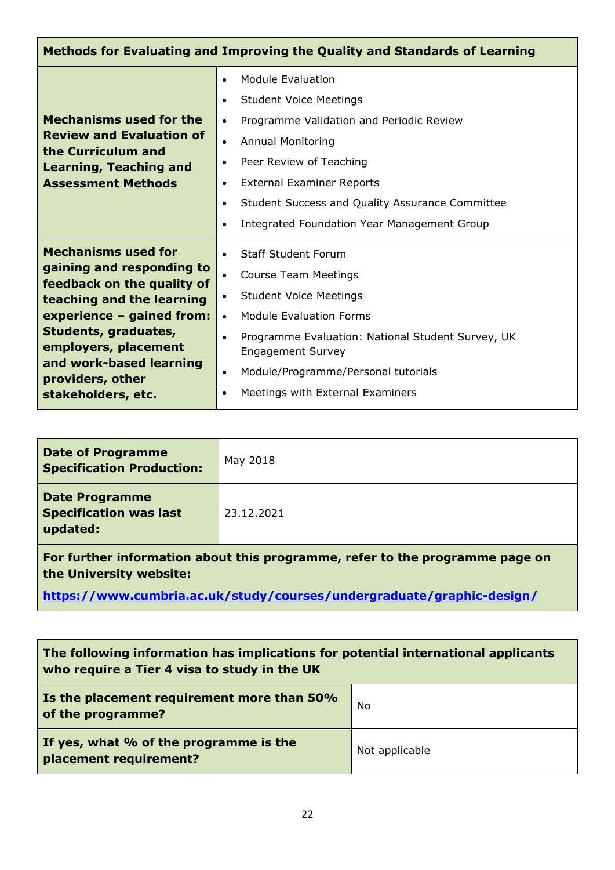| Methods for Evaluating and Improving the Quality and Standards of Learning                                                                                                                                                                                           |                                                                                                                                                                                                                                                                                                                                                                                  |  |  |
|----------------------------------------------------------------------------------------------------------------------------------------------------------------------------------------------------------------------------------------------------------------------|----------------------------------------------------------------------------------------------------------------------------------------------------------------------------------------------------------------------------------------------------------------------------------------------------------------------------------------------------------------------------------|--|--|
| <b>Mechanisms used for the</b><br><b>Review and Evaluation of</b><br>the Curriculum and<br><b>Learning, Teaching and</b><br><b>Assessment Methods</b>                                                                                                                | <b>Module Evaluation</b><br>$\bullet$<br><b>Student Voice Meetings</b><br>Programme Validation and Periodic Review<br>$\bullet$<br><b>Annual Monitoring</b><br>$\bullet$<br>Peer Review of Teaching<br>$\bullet$<br><b>External Examiner Reports</b><br>$\bullet$<br>Student Success and Quality Assurance Committee<br>Integrated Foundation Year Management Group<br>$\bullet$ |  |  |
| <b>Mechanisms used for</b><br>gaining and responding to<br>feedback on the quality of<br>teaching and the learning<br>experience - gained from:<br>Students, graduates,<br>employers, placement<br>and work-based learning<br>providers, other<br>stakeholders, etc. | <b>Staff Student Forum</b><br><b>Course Team Meetings</b><br><b>Student Voice Meetings</b><br>$\bullet$<br><b>Module Evaluation Forms</b><br>$\bullet$<br>Programme Evaluation: National Student Survey, UK<br>$\bullet$<br><b>Engagement Survey</b><br>Module/Programme/Personal tutorials<br>$\bullet$<br>Meetings with External Examiners                                     |  |  |

| <b>Date of Programme</b><br><b>Specification Production:</b>                | May 2018   |  |
|-----------------------------------------------------------------------------|------------|--|
| <b>Date Programme</b><br><b>Specification was last</b><br>updated:          | 23.12.2021 |  |
| For further information about this programme refer to the programme page on |            |  |

**For further information about this programme, refer to the programme page on the University website:** 

**<https://www.cumbria.ac.uk/study/courses/undergraduate/graphic-design/>**

| The following information has implications for potential international applicants<br>who require a Tier 4 visa to study in the UK |                |  |
|-----------------------------------------------------------------------------------------------------------------------------------|----------------|--|
| Is the placement requirement more than 50%<br>of the programme?                                                                   | No             |  |
| If yes, what % of the programme is the<br>placement requirement?                                                                  | Not applicable |  |